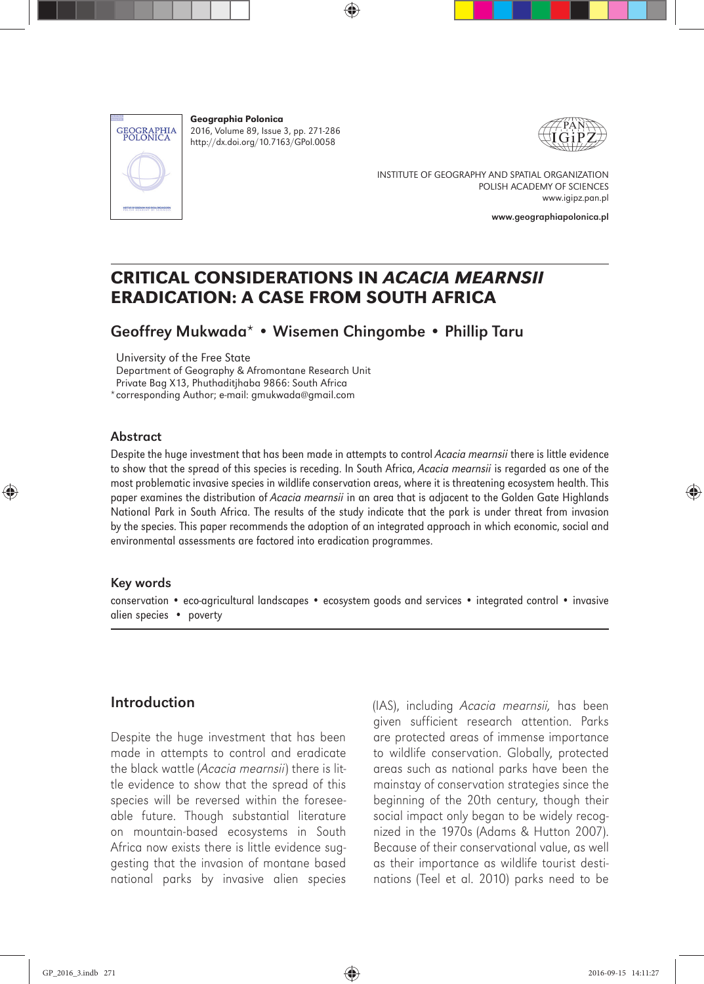

Geographia Polonica 2016, Volume 89, Issue 3, pp. 271-286 http://dx.doi.org/10.7163/GPol.0058



INSTITUTE OF GEOGRAPHY AND SPATIAL ORGANIZATION POLISH ACADEMY OF SCIENCES www.igipz.pan.pl

www.geographiapolonica.pl

## CRITICAL CONSIDERATIONS IN *ACACIA MEARNSII* ERADICATION: A CASE FROM SOUTH AFRICA

## Geoffrey Mukwada\* • Wisemen Chingombe • Phillip Taru

University of the Free State

Department of Geography & Afromontane Research Unit

Private Bag X13, Phuthaditjhaba 9866: South Africa

\*corresponding Author; e-mail: gmukwada@gmail.com

#### Abstract

Despite the huge investment that has been made in attempts to control *Acacia mearnsii* there is little evidence to show that the spread of this species is receding. In South Africa, *Acacia mearnsii* is regarded as one of the most problematic invasive species in wildlife conservation areas, where it is threatening ecosystem health. This paper examines the distribution of *Acacia mearnsii* in an area that is adjacent to the Golden Gate Highlands National Park in South Africa. The results of the study indicate that the park is under threat from invasion by the species. This paper recommends the adoption of an integrated approach in which economic, social and environmental assessments are factored into eradication programmes.

#### Key words

conservation • eco-agricultural landscapes • ecosystem goods and services • integrated control • invasive alien species • poverty

### Introduction

Despite the huge investment that has been made in attempts to control and eradicate the black wattle (*Acacia mearnsii*) there is little evidence to show that the spread of this species will be reversed within the foreseeable future. Though substantial literature on mountain-based ecosystems in South Africa now exists there is little evidence suggesting that the invasion of montane based national parks by invasive alien species (IAS), including *Acacia mearnsii,* has been given sufficient research attention. Parks are protected areas of immense importance to wildlife conservation. Globally, protected areas such as national parks have been the mainstay of conservation strategies since the beginning of the 20th century, though their social impact only began to be widely recognized in the 1970s (Adams & Hutton 2007). Because of their conservational value, as well as their importance as wildlife tourist destinations (Teel et al. 2010) parks need to be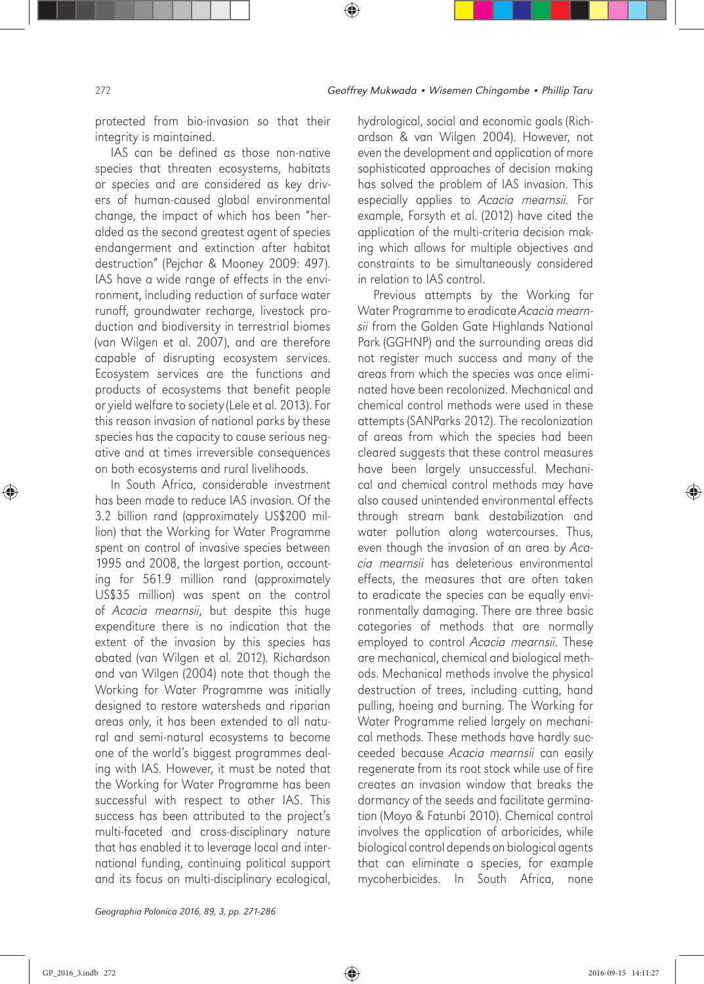protected from bio-invasion so that their integrity is maintained.

IAS can be defined as those non-native species that threaten ecosystems, habitats or species and are considered as key drivers of human-caused global environmental change, the impact of which has been "heralded as the second greatest agent of species endangerment and extinction after habitat destruction" (Pejchar & Mooney 2009: 497). IAS have a wide range of effects in the environment, including reduction of surface water runoff, groundwater recharge, livestock production and biodiversity in terrestrial biomes (van Wilgen et al. 2007), and are therefore capable of disrupting ecosystem services. Ecosystem services are the functions and products of ecosystems that benefit people or yield welfare to society (Lele et al. 2013). For this reason invasion of national parks by these species has the capacity to cause serious negative and at times irreversible consequences on both ecosystems and rural livelihoods.

In South Africa, considerable investment has been made to reduce IAS invasion. Of the 3.2 billion rand (approximately US\$200 million) that the Working for Water Programme spent on control of invasive species between 1995 and 2008, the largest portion, accounting for 561.9 million rand (approximately US\$35 million) was spent on the control of *Acacia mearnsii*, but despite this huge expenditure there is no indication that the extent of the invasion by this species has abated (van Wilgen et al. 2012). Richardson and van Wilgen (2004) note that though the Working for Water Programme was initially designed to restore watersheds and riparian areas only, it has been extended to all natural and semi-natural ecosystems to become one of the world's biggest programmes dealing with IAS. However, it must be noted that the Working for Water Programme has been successful with respect to other IAS. This success has been attributed to the project's multi-faceted and cross-disciplinary nature that has enabled it to leverage local and international funding, continuing political support and its focus on multi-disciplinary ecological,

hydrological, social and economic goals (Richardson & van Wilgen 2004). However, not even the development and application of more sophisticated approaches of decision making has solved the problem of IAS invasion. This especially applies to *Acacia mearnsii.* For example, Forsyth et al. (2012) have cited the application of the multi-criteria decision making which allows for multiple objectives and constraints to be simultaneously considered in relation to IAS control.

Previous attempts by the Working for Water Programme to eradicate *Acacia mearnsii* from the Golden Gate Highlands National Park (GGHNP) and the surrounding areas did not register much success and many of the areas from which the species was once eliminated have been recolonized. Mechanical and chemical control methods were used in these attempts (SANParks 2012). The recolonization of areas from which the species had been cleared suggests that these control measures have been largely unsuccessful. Mechanical and chemical control methods may have also caused unintended environmental effects through stream bank destabilization and water pollution along watercourses. Thus, even though the invasion of an area by *Acacia mearnsii* has deleterious environmental effects, the measures that are often taken to eradicate the species can be equally environmentally damaging. There are three basic categories of methods that are normally employed to control *Acacia mearnsii*. These are mechanical, chemical and biological methods. Mechanical methods involve the physical destruction of trees, including cutting, hand pulling, hoeing and burning. The Working for Water Programme relied largely on mechanical methods. These methods have hardly succeeded because *Acacia mearnsii* can easily regenerate from its root stock while use of fire creates an invasion window that breaks the dormancy of the seeds and facilitate germination (Moyo & Fatunbi 2010). Chemical control involves the application of arboricides, while biological control depends on biological agents that can eliminate a species, for example mycoherbicides. In South Africa, none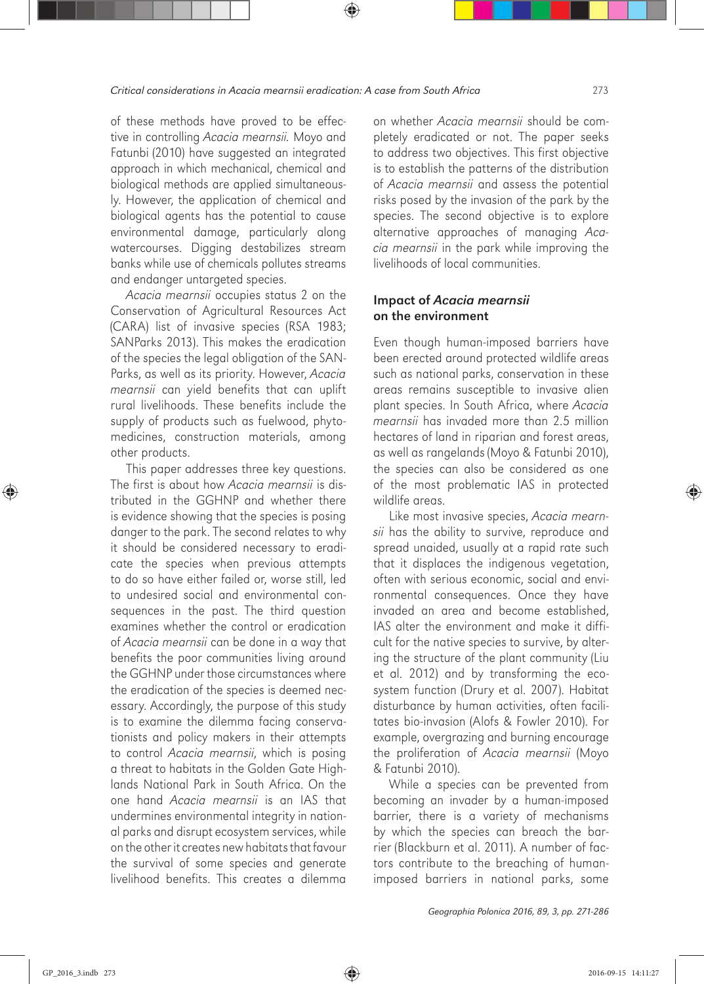of these methods have proved to be effective in controlling *Acacia mearnsii.* Moyo and Fatunbi (2010) have suggested an integrated approach in which mechanical, chemical and biological methods are applied simultaneously. However, the application of chemical and biological agents has the potential to cause environmental damage, particularly along watercourses. Digging destabilizes stream banks while use of chemicals pollutes streams and endanger untargeted species.

*Acacia mearnsii* occupies status 2 on the Conservation of Agricultural Resources Act (CARA) list of invasive species (RSA 1983; SANParks 2013). This makes the eradication of the species the legal obligation of the SAN-Parks, as well as its priority. However, *Acacia mearnsii* can yield benefits that can uplift rural livelihoods. These benefits include the supply of products such as fuelwood, phytomedicines, construction materials, among other products.

This paper addresses three key questions. The first is about how *Acacia mearnsii* is distributed in the GGHNP and whether there is evidence showing that the species is posing danger to the park. The second relates to why it should be considered necessary to eradicate the species when previous attempts to do so have either failed or, worse still, led to undesired social and environmental consequences in the past. The third question examines whether the control or eradication of *Acacia mearnsii* can be done in a way that benefits the poor communities living around the GGHNP under those circumstances where the eradication of the species is deemed necessary. Accordingly, the purpose of this study is to examine the dilemma facing conservationists and policy makers in their attempts to control *Acacia mearnsii*, which is posing a threat to habitats in the Golden Gate Highlands National Park in South Africa. On the one hand *Acacia mearnsii* is an IAS that undermines environmental integrity in national parks and disrupt ecosystem services, while on the other it creates new habitats that favour the survival of some species and generate livelihood benefits. This creates a dilemma

on whether *Acacia mearnsii* should be completely eradicated or not. The paper seeks to address two objectives. This first objective is to establish the patterns of the distribution of *Acacia mearnsii* and assess the potential risks posed by the invasion of the park by the species. The second objective is to explore alternative approaches of managing *Acacia mearnsii* in the park while improving the livelihoods of local communities.

#### Impact of *Acacia mearnsii* on the environment

Even though human-imposed barriers have been erected around protected wildlife areas such as national parks, conservation in these areas remains susceptible to invasive alien plant species. In South Africa, where *Acacia mearnsii* has invaded more than 2.5 million hectares of land in riparian and forest areas, as well as rangelands (Moyo & Fatunbi 2010), the species can also be considered as one of the most problematic IAS in protected wildlife areas.

Like most invasive species, *Acacia mearnsii* has the ability to survive, reproduce and spread unaided, usually at a rapid rate such that it displaces the indigenous vegetation, often with serious economic, social and environmental consequences. Once they have invaded an area and become established, IAS alter the environment and make it difficult for the native species to survive, by altering the structure of the plant community (Liu et al. 2012) and by transforming the ecosystem function (Drury et al. 2007). Habitat disturbance by human activities, often facilitates bio-invasion (Alofs & Fowler 2010). For example, overgrazing and burning encourage the proliferation of *Acacia mearnsii* (Moyo & Fatunbi 2010).

While a species can be prevented from becoming an invader by a human-imposed barrier, there is a variety of mechanisms by which the species can breach the barrier (Blackburn et al. 2011). A number of factors contribute to the breaching of humanimposed barriers in national parks, some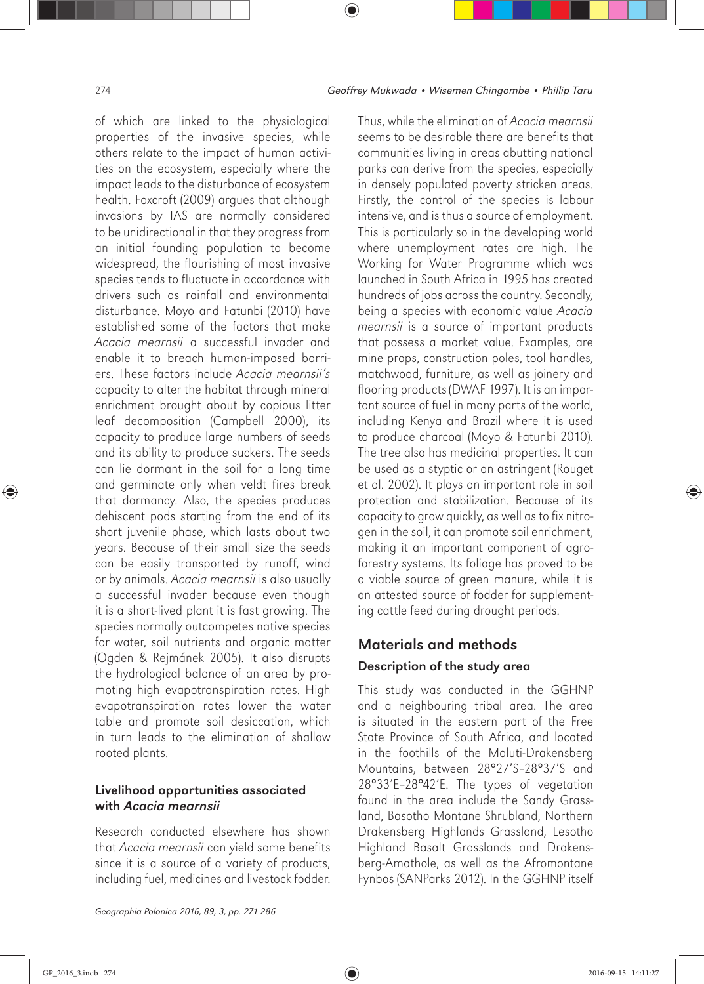of which are linked to the physiological properties of the invasive species, while others relate to the impact of human activities on the ecosystem, especially where the impact leads to the disturbance of ecosystem health. Foxcroft (2009) argues that although invasions by IAS are normally considered to be unidirectional in that they progress from an initial founding population to become widespread, the flourishing of most invasive species tends to fluctuate in accordance with drivers such as rainfall and environmental disturbance. Moyo and Fatunbi (2010) have established some of the factors that make *Acacia mearnsii* a successful invader and enable it to breach human-imposed barriers. These factors include *Acacia mearnsii's*  capacity to alter the habitat through mineral enrichment brought about by copious litter leaf decomposition (Campbell 2000), its capacity to produce large numbers of seeds and its ability to produce suckers. The seeds can lie dormant in the soil for a long time and germinate only when veldt fires break that dormancy. Also, the species produces dehiscent pods starting from the end of its short juvenile phase, which lasts about two years. Because of their small size the seeds can be easily transported by runoff, wind or by animals. *Acacia mearnsii* is also usually a successful invader because even though it is a short-lived plant it is fast growing. The species normally outcompetes native species for water, soil nutrients and organic matter (Ogden & Rejmánek 2005). It also disrupts the hydrological balance of an area by promoting high evapotranspiration rates. High evapotranspiration rates lower the water table and promote soil desiccation, which in turn leads to the elimination of shallow rooted plants.

### Livelihood opportunities associated with *Acacia mearnsii*

Research conducted elsewhere has shown that *Acacia mearnsii* can yield some benefits since it is a source of a variety of products, including fuel, medicines and livestock fodder. Thus, while the elimination of *Acacia mearnsii*  seems to be desirable there are benefits that communities living in areas abutting national parks can derive from the species, especially in densely populated poverty stricken areas. Firstly, the control of the species is labour intensive, and is thus a source of employment. This is particularly so in the developing world where unemployment rates are high. The Working for Water Programme which was launched in South Africa in 1995 has created hundreds of jobs across the country. Secondly, being a species with economic value *Acacia mearnsii* is a source of important products that possess a market value. Examples, are mine props, construction poles, tool handles, matchwood, furniture, as well as joinery and flooring products (DWAF 1997). It is an important source of fuel in many parts of the world, including Kenya and Brazil where it is used to produce charcoal (Moyo & Fatunbi 2010). The tree also has medicinal properties. It can be used as a styptic or an astringent (Rouget et al. 2002). It plays an important role in soil protection and stabilization. Because of its capacity to grow quickly, as well as to fix nitrogen in the soil, it can promote soil enrichment, making it an important component of agroforestry systems. Its foliage has proved to be a viable source of green manure, while it is an attested source of fodder for supplementing cattle feed during drought periods.

## Materials and methods Description of the study area

This study was conducted in the GGHNP and a neighbouring tribal area. The area is situated in the eastern part of the Free State Province of South Africa, and located in the foothills of the Maluti-Drakensberg Mountains, between 28°27'S–28°37'S and 28°33'E–28°42'E. The types of vegetation found in the area include the Sandy Grassland, Basotho Montane Shrubland, Northern Drakensberg Highlands Grassland, Lesotho Highland Basalt Grasslands and Drakensberg-Amathole, as well as the Afromontane Fynbos (SANParks 2012). In the GGHNP itself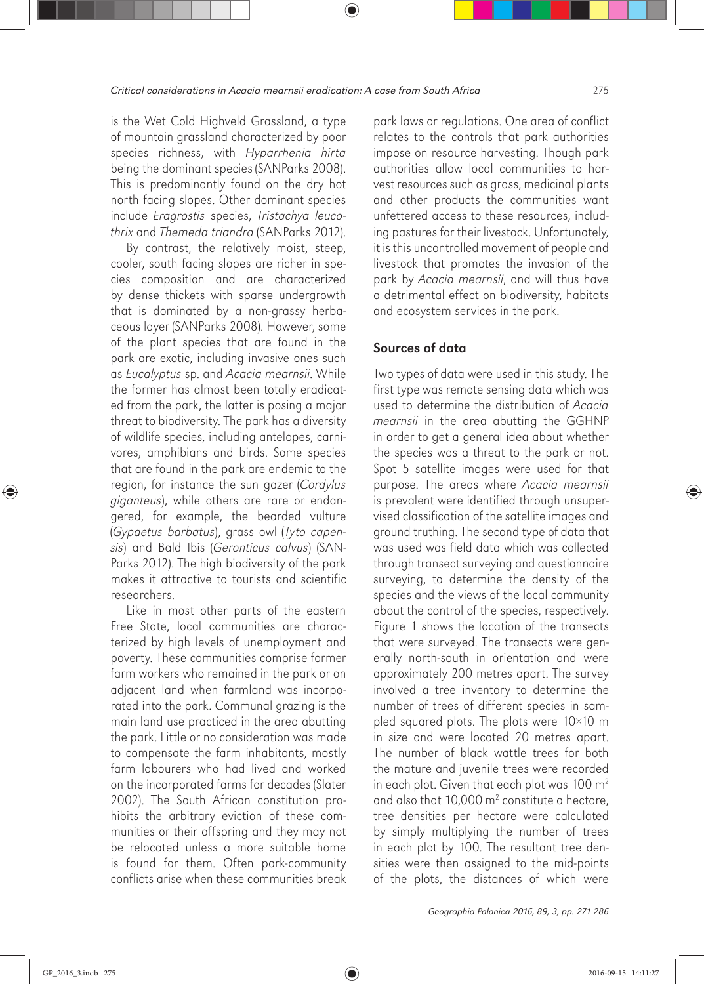is the Wet Cold Highveld Grassland, a type of mountain grassland characterized by poor species richness, with *Hyparrhenia hirta* being the dominant species (SANParks 2008). This is predominantly found on the dry hot north facing slopes. Other dominant species include *Eragrostis* species, *Tristachya leucothrix* and *Themeda triandra* (SANParks 2012).

By contrast, the relatively moist, steep, cooler, south facing slopes are richer in species composition and are characterized by dense thickets with sparse undergrowth that is dominated by a non-grassy herbaceous layer (SANParks 2008). However, some of the plant species that are found in the park are exotic, including invasive ones such as *Eucalyptus* sp. and *Acacia mearnsii*. While the former has almost been totally eradicated from the park, the latter is posing a major threat to biodiversity. The park has a diversity of wildlife species, including antelopes, carnivores, amphibians and birds. Some species that are found in the park are endemic to the region, for instance the sun gazer (*Cordylus giganteus*), while others are rare or endangered, for example, the bearded vulture (*Gypaetus barbatus*), grass owl (*Tyto capensis*) and Bald Ibis (*Geronticus calvus*) (SAN-Parks 2012). The high biodiversity of the park makes it attractive to tourists and scientific researchers.

Like in most other parts of the eastern Free State, local communities are characterized by high levels of unemployment and poverty. These communities comprise former farm workers who remained in the park or on adjacent land when farmland was incorporated into the park. Communal grazing is the main land use practiced in the area abutting the park. Little or no consideration was made to compensate the farm inhabitants, mostly farm labourers who had lived and worked on the incorporated farms for decades (Slater 2002). The South African constitution prohibits the arbitrary eviction of these communities or their offspring and they may not be relocated unless a more suitable home is found for them. Often park-community conflicts arise when these communities break

park laws or regulations. One area of conflict relates to the controls that park authorities impose on resource harvesting. Though park authorities allow local communities to harvest resources such as grass, medicinal plants and other products the communities want unfettered access to these resources, including pastures for their livestock. Unfortunately, it is this uncontrolled movement of people and livestock that promotes the invasion of the park by *Acacia mearnsii*, and will thus have a detrimental effect on biodiversity, habitats and ecosystem services in the park.

### Sources of data

Two types of data were used in this study. The first type was remote sensing data which was used to determine the distribution of *Acacia mearnsii* in the area abutting the GGHNP in order to get a general idea about whether the species was a threat to the park or not. Spot 5 satellite images were used for that purpose. The areas where *Acacia mearnsii*  is prevalent were identified through unsupervised classification of the satellite images and ground truthing. The second type of data that was used was field data which was collected through transect surveying and questionnaire surveying, to determine the density of the species and the views of the local community about the control of the species, respectively. Figure 1 shows the location of the transects that were surveyed. The transects were generally north-south in orientation and were approximately 200 metres apart. The survey involved a tree inventory to determine the number of trees of different species in sampled squared plots. The plots were 10×10 m in size and were located 20 metres apart. The number of black wattle trees for both the mature and juvenile trees were recorded in each plot. Given that each plot was  $100 \text{ m}^2$ and also that 10,000  $m^2$  constitute a hectare, tree densities per hectare were calculated by simply multiplying the number of trees in each plot by 100. The resultant tree densities were then assigned to the mid-points of the plots, the distances of which were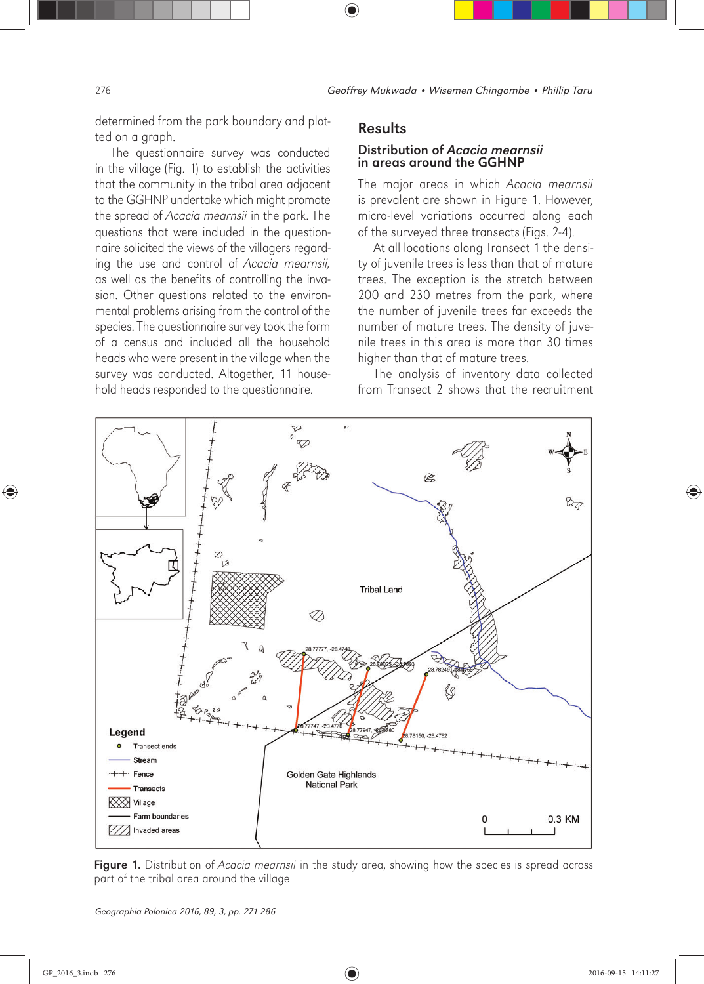determined from the park boundary and plotted on a graph.

The questionnaire survey was conducted in the village (Fig. 1) to establish the activities that the community in the tribal area adjacent to the GGHNP undertake which might promote the spread of *Acacia mearnsii* in the park. The questions that were included in the questionnaire solicited the views of the villagers regarding the use and control of *Acacia mearnsii,* as well as the benefits of controlling the invasion. Other questions related to the environmental problems arising from the control of the species. The questionnaire survey took the form of a census and included all the household heads who were present in the village when the survey was conducted. Altogether, 11 household heads responded to the questionnaire.

#### Results

#### Distribution of *Acacia mearnsii* in areas around the GGHNP

The major areas in which *Acacia mearnsii* is prevalent are shown in Figure 1. However, micro-level variations occurred along each of the surveyed three transects (Figs. 2-4).

At all locations along Transect 1 the density of juvenile trees is less than that of mature trees. The exception is the stretch between 200 and 230 metres from the park, where the number of juvenile trees far exceeds the number of mature trees. The density of juvenile trees in this area is more than 30 times higher than that of mature trees.

The analysis of inventory data collected from Transect 2 shows that the recruitment



Figure 1. Distribution of *Acacia mearnsii* in the study area, showing how the species is spread across part of the tribal area around the village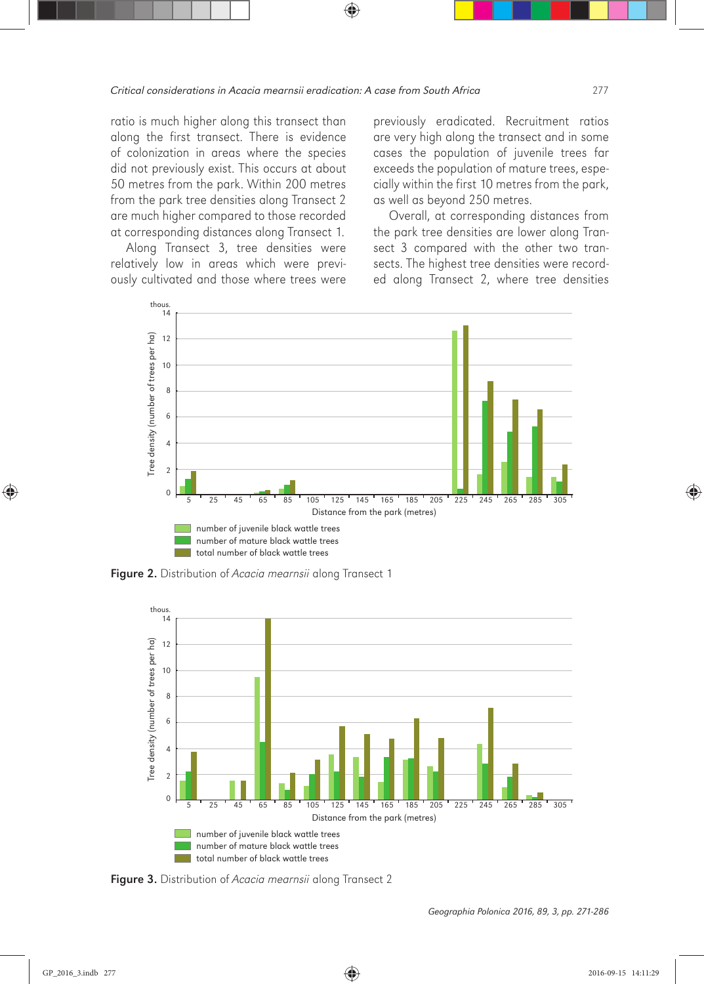ratio is much higher along this transect than along the first transect. There is evidence of colonization in areas where the species did not previously exist. This occurs at about 50 metres from the park. Within 200 metres from the park tree densities along Transect 2 are much higher compared to those recorded at corresponding distances along Transect 1.

Along Transect 3, tree densities were relatively low in areas which were previously cultivated and those where trees were previously eradicated. Recruitment ratios are very high along the transect and in some cases the population of juvenile trees far exceeds the population of mature trees, especially within the first 10 metres from the park, as well as beyond 250 metres.

Overall, at corresponding distances from the park tree densities are lower along Transect 3 compared with the other two transects. The highest tree densities were recorded along Transect 2, where tree densities



Figure 2. Distribution of *Acacia mearnsii* along Transect 1



Figure 3. Distribution of *Acacia mearnsii* along Transect 2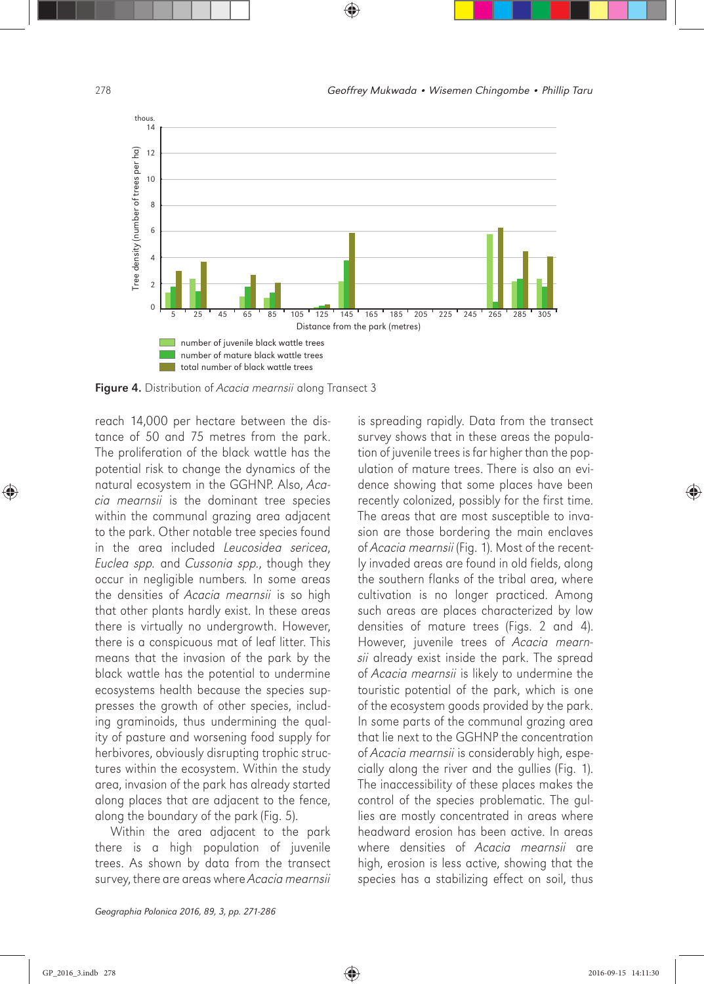

Figure 4. Distribution of *Acacia mearnsii* along Transect 3

reach 14,000 per hectare between the distance of 50 and 75 metres from the park. The proliferation of the black wattle has the potential risk to change the dynamics of the natural ecosystem in the GGHNP. Also, *Acacia mearnsii* is the dominant tree species within the communal grazing area adjacent to the park. Other notable tree species found in the area included *Leucosidea sericea*, *Euclea spp.* and *Cussonia spp.*, though they occur in negligible numbers*.* In some areas the densities of *Acacia mearnsii* is so high that other plants hardly exist. In these areas there is virtually no undergrowth. However, there is a conspicuous mat of leaf litter. This means that the invasion of the park by the black wattle has the potential to undermine ecosystems health because the species suppresses the growth of other species, including graminoids, thus undermining the quality of pasture and worsening food supply for herbivores, obviously disrupting trophic structures within the ecosystem. Within the study area, invasion of the park has already started along places that are adjacent to the fence, along the boundary of the park (Fig. 5).

Within the area adjacent to the park there is a high population of juvenile trees. As shown by data from the transect survey, there are areas where *Acacia mearnsii* 

Geographia Polonica 2016, 89, 3, pp. 271-286

is spreading rapidly. Data from the transect survey shows that in these areas the population of juvenile trees is far higher than the population of mature trees. There is also an evidence showing that some places have been recently colonized, possibly for the first time. The areas that are most susceptible to invasion are those bordering the main enclaves of *Acacia mearnsii* (Fig. 1). Most of the recently invaded areas are found in old fields, along the southern flanks of the tribal area, where cultivation is no longer practiced. Among such areas are places characterized by low densities of mature trees (Figs. 2 and 4). However, juvenile trees of *Acacia mearnsii* already exist inside the park. The spread of *Acacia mearnsii* is likely to undermine the touristic potential of the park, which is one of the ecosystem goods provided by the park. In some parts of the communal grazing area that lie next to the GGHNP the concentration of *Acacia mearnsii* is considerably high, especially along the river and the gullies (Fig. 1). The inaccessibility of these places makes the control of the species problematic. The gullies are mostly concentrated in areas where headward erosion has been active. In areas where densities of *Acacia mearnsii* are high, erosion is less active, showing that the species has a stabilizing effect on soil, thus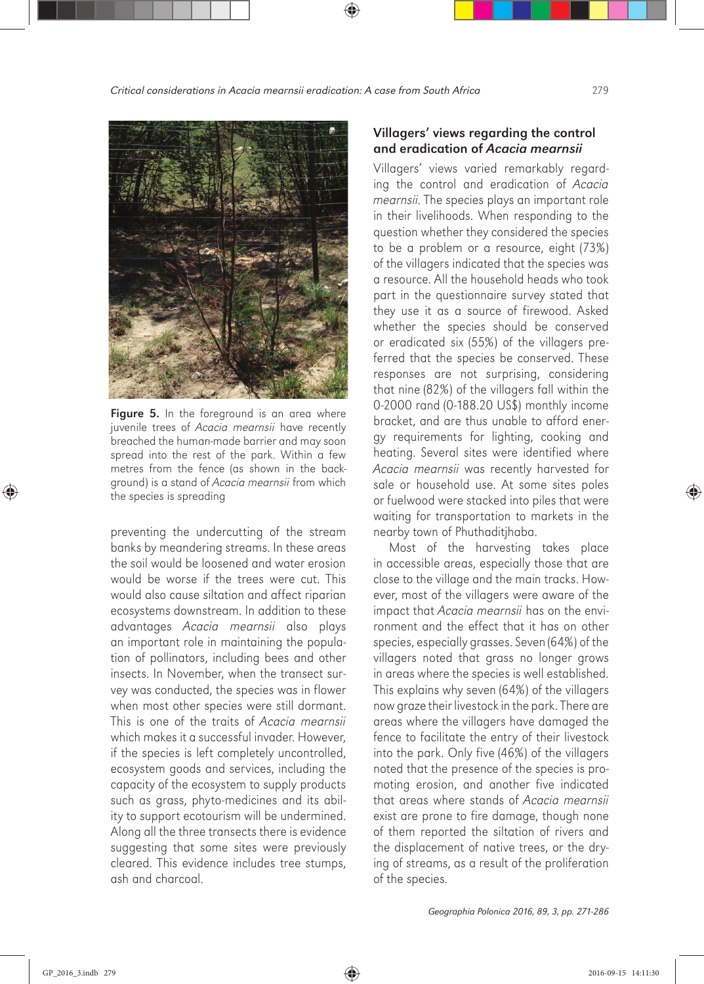

Figure 5. In the foreground is an area where juvenile trees of *Acacia mearnsii* have recently breached the human-made barrier and may soon spread into the rest of the park. Within a few metres from the fence (as shown in the background) is a stand of *Acacia mearnsii* from which the species is spreading

preventing the undercutting of the stream banks by meandering streams. In these areas the soil would be loosened and water erosion would be worse if the trees were cut. This would also cause siltation and affect riparian ecosystems downstream. In addition to these advantages *Acacia mearnsii* also plays an important role in maintaining the population of pollinators, including bees and other insects. In November, when the transect survey was conducted, the species was in flower when most other species were still dormant. This is one of the traits of *Acacia mearnsii*  which makes it a successful invader. However, if the species is left completely uncontrolled, ecosystem goods and services, including the capacity of the ecosystem to supply products such as grass, phyto-medicines and its ability to support ecotourism will be undermined. Along all the three transects there is evidence suggesting that some sites were previously cleared. This evidence includes tree stumps, ash and charcoal.

#### Villagers' views regarding the control and eradication of *Acacia mearnsii*

Villagers' views varied remarkably regarding the control and eradication of *Acacia mearnsii*. The species plays an important role in their livelihoods. When responding to the question whether they considered the species to be a problem or a resource, eight (73%) of the villagers indicated that the species was a resource. All the household heads who took part in the questionnaire survey stated that they use it as a source of firewood. Asked whether the species should be conserved or eradicated six (55%) of the villagers preferred that the species be conserved. These responses are not surprising, considering that nine (82%) of the villagers fall within the 0-2000 rand (0-188.20 US\$) monthly income bracket, and are thus unable to afford energy requirements for lighting, cooking and heating. Several sites were identified where *Acacia mearnsii* was recently harvested for sale or household use. At some sites poles or fuelwood were stacked into piles that were waiting for transportation to markets in the nearby town of Phuthaditjhaba.

Most of the harvesting takes place in accessible areas, especially those that are close to the village and the main tracks. However, most of the villagers were aware of the impact that *Acacia mearnsii* has on the environment and the effect that it has on other species, especially grasses. Seven (64%) of the villagers noted that grass no longer grows in areas where the species is well established. This explains why seven (64%) of the villagers now graze their livestock in the park. There are areas where the villagers have damaged the fence to facilitate the entry of their livestock into the park. Only five (46%) of the villagers noted that the presence of the species is promoting erosion, and another five indicated that areas where stands of *Acacia mearnsii* exist are prone to fire damage, though none of them reported the siltation of rivers and the displacement of native trees, or the drying of streams, as a result of the proliferation of the species.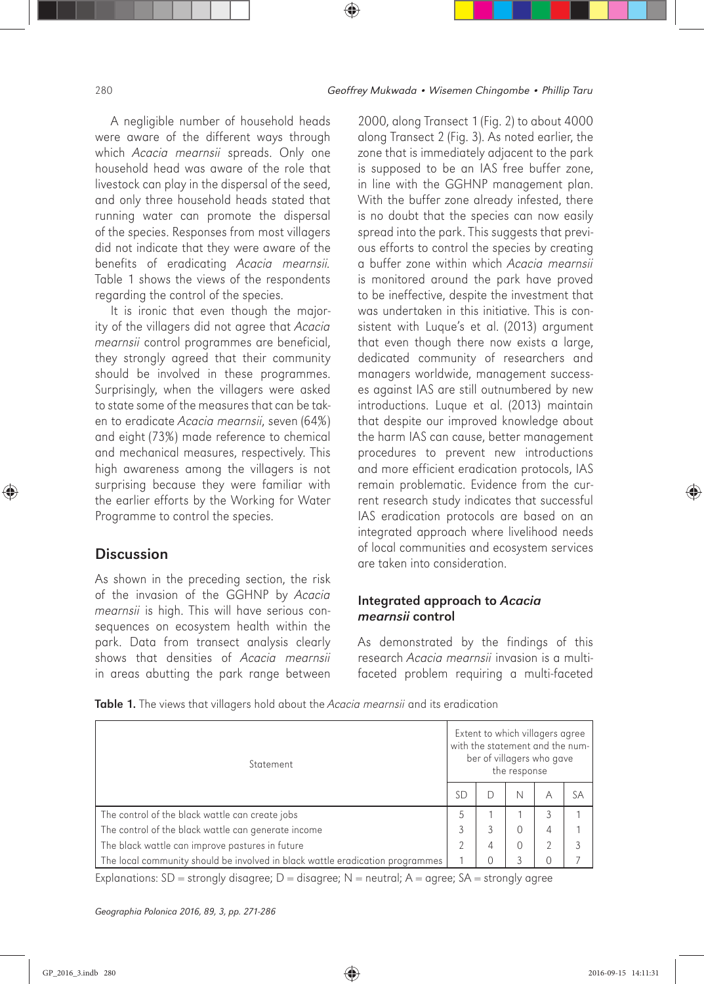A negligible number of household heads were aware of the different ways through which *Acacia mearnsii* spreads. Only one household head was aware of the role that livestock can play in the dispersal of the seed, and only three household heads stated that running water can promote the dispersal of the species. Responses from most villagers did not indicate that they were aware of the benefits of eradicating *Acacia mearnsii.*  Table 1 shows the views of the respondents regarding the control of the species.

It is ironic that even though the majority of the villagers did not agree that *Acacia mearnsii* control programmes are beneficial, they strongly agreed that their community should be involved in these programmes. Surprisingly, when the villagers were asked to state some of the measures that can be taken to eradicate *Acacia mearnsii*, seven (64%) and eight (73%) made reference to chemical and mechanical measures, respectively. This high awareness among the villagers is not surprising because they were familiar with the earlier efforts by the Working for Water Programme to control the species.

## **Discussion**

As shown in the preceding section, the risk of the invasion of the GGHNP by *Acacia mearnsii* is high. This will have serious consequences on ecosystem health within the park. Data from transect analysis clearly shows that densities of *Acacia mearnsii*  in areas abutting the park range between

2000, along Transect 1 (Fig. 2) to about 4000 along Transect 2 (Fig. 3). As noted earlier, the zone that is immediately adjacent to the park is supposed to be an IAS free buffer zone, in line with the GGHNP management plan. With the buffer zone already infested, there is no doubt that the species can now easily spread into the park. This suggests that previous efforts to control the species by creating a buffer zone within which *Acacia mearnsii* is monitored around the park have proved to be ineffective, despite the investment that was undertaken in this initiative. This is consistent with Luque's et al. (2013) argument that even though there now exists a large, dedicated community of researchers and managers worldwide, management successes against IAS are still outnumbered by new introductions. Luque et al. (2013) maintain that despite our improved knowledge about the harm IAS can cause, better management procedures to prevent new introductions and more efficient eradication protocols, IAS remain problematic. Evidence from the current research study indicates that successful IAS eradication protocols are based on an integrated approach where livelihood needs of local communities and ecosystem services are taken into consideration.

### Integrated approach to *Acacia mearnsii* control

As demonstrated by the findings of this research *Acacia mearnsii* invasion is a multifaceted problem requiring a multi-faceted

Table 1. The views that villagers hold about the *Acacia mearnsii* and its eradication

| Statement                                                                     | Extent to which villagers agree<br>with the statement and the num-<br>ber of villagers who gave<br>the response |   |   |          |    |
|-------------------------------------------------------------------------------|-----------------------------------------------------------------------------------------------------------------|---|---|----------|----|
|                                                                               | SГ.                                                                                                             |   | N | Α        | SΑ |
| The control of the black wattle can create jobs                               |                                                                                                                 |   |   |          |    |
| The control of the black wattle can generate income                           |                                                                                                                 |   | 0 | 4        |    |
| The black wattle can improve pastures in future                               |                                                                                                                 | 4 | 0 | C.       |    |
| The local community should be involved in black wattle eradication programmes |                                                                                                                 |   |   | $\Omega$ |    |

Explanations:  $SD =$  strongly disagree;  $D =$  disagree;  $N =$  neutral;  $A =$  agree;  $SA =$  strongly agree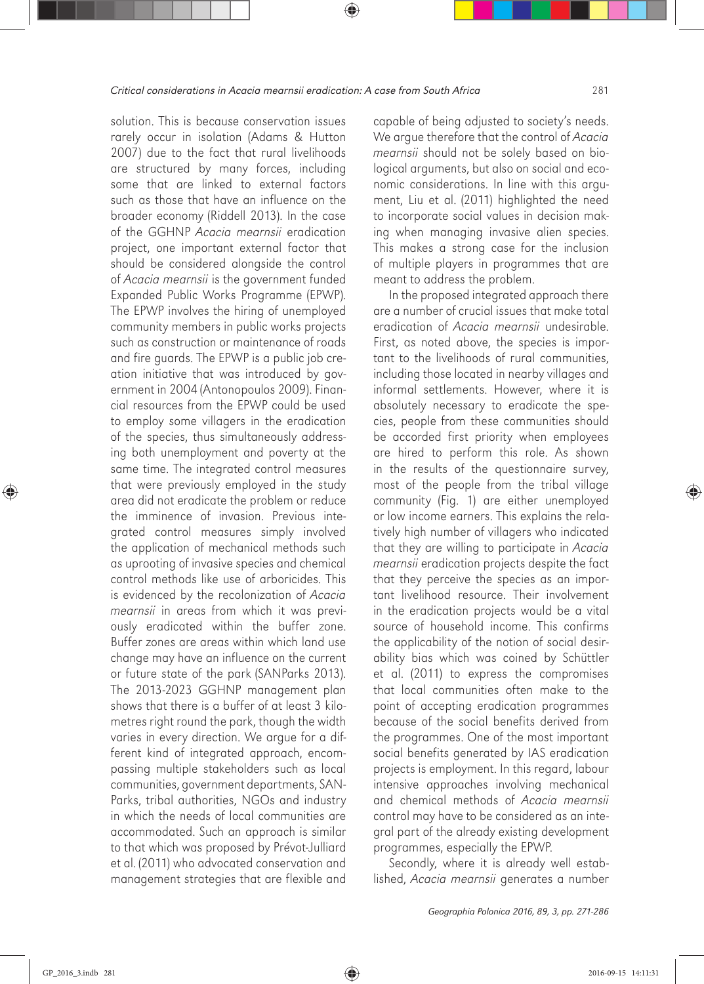solution. This is because conservation issues rarely occur in isolation (Adams & Hutton 2007) due to the fact that rural livelihoods are structured by many forces, including some that are linked to external factors such as those that have an influence on the broader economy (Riddell 2013). In the case of the GGHNP *Acacia mearnsii* eradication project, one important external factor that should be considered alongside the control of *Acacia mearnsii* is the government funded Expanded Public Works Programme (EPWP). The EPWP involves the hiring of unemployed community members in public works projects such as construction or maintenance of roads and fire guards. The EPWP is a public job creation initiative that was introduced by government in 2004 (Antonopoulos 2009). Financial resources from the EPWP could be used to employ some villagers in the eradication of the species, thus simultaneously addressing both unemployment and poverty at the same time. The integrated control measures that were previously employed in the study area did not eradicate the problem or reduce the imminence of invasion. Previous integrated control measures simply involved the application of mechanical methods such as uprooting of invasive species and chemical control methods like use of arboricides. This is evidenced by the recolonization of *Acacia mearnsii* in areas from which it was previously eradicated within the buffer zone. Buffer zones are areas within which land use change may have an influence on the current or future state of the park (SANParks 2013). The 2013-2023 GGHNP management plan shows that there is a buffer of at least 3 kilometres right round the park, though the width varies in every direction. We argue for a different kind of integrated approach, encompassing multiple stakeholders such as local communities, government departments, SAN-Parks, tribal authorities, NGOs and industry in which the needs of local communities are accommodated. Such an approach is similar to that which was proposed by Prévot-Julliard et al. (2011) who advocated conservation and management strategies that are flexible and

capable of being adjusted to society's needs. We argue therefore that the control of *Acacia mearnsii* should not be solely based on biological arguments, but also on social and economic considerations. In line with this argument, Liu et al. (2011) highlighted the need to incorporate social values in decision making when managing invasive alien species. This makes a strong case for the inclusion of multiple players in programmes that are meant to address the problem.

In the proposed integrated approach there are a number of crucial issues that make total eradication of *Acacia mearnsii* undesirable. First, as noted above, the species is important to the livelihoods of rural communities, including those located in nearby villages and informal settlements. However, where it is absolutely necessary to eradicate the species, people from these communities should be accorded first priority when employees are hired to perform this role. As shown in the results of the questionnaire survey, most of the people from the tribal village community (Fig. 1) are either unemployed or low income earners. This explains the relatively high number of villagers who indicated that they are willing to participate in *Acacia mearnsii* eradication projects despite the fact that they perceive the species as an important livelihood resource. Their involvement in the eradication projects would be a vital source of household income. This confirms the applicability of the notion of social desirability bias which was coined by Schüttler et al. (2011) to express the compromises that local communities often make to the point of accepting eradication programmes because of the social benefits derived from the programmes. One of the most important social benefits generated by IAS eradication projects is employment. In this regard, labour intensive approaches involving mechanical and chemical methods of *Acacia mearnsii* control may have to be considered as an integral part of the already existing development programmes, especially the EPWP.

Secondly, where it is already well established, *Acacia mearnsii* generates a number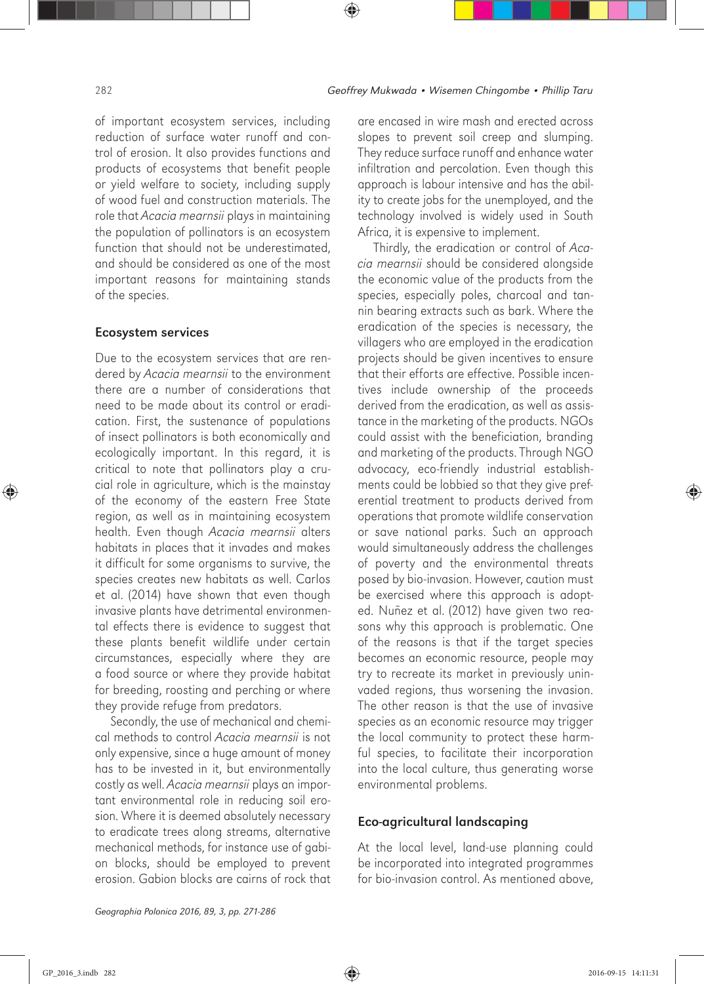of important ecosystem services, including reduction of surface water runoff and control of erosion. It also provides functions and products of ecosystems that benefit people or yield welfare to society, including supply of wood fuel and construction materials. The role that *Acacia mearnsii* plays in maintaining the population of pollinators is an ecosystem function that should not be underestimated, and should be considered as one of the most important reasons for maintaining stands of the species.

#### Ecosystem services

Due to the ecosystem services that are rendered by *Acacia mearnsii* to the environment there are a number of considerations that need to be made about its control or eradication. First, the sustenance of populations of insect pollinators is both economically and ecologically important. In this regard, it is critical to note that pollinators play a crucial role in agriculture, which is the mainstay of the economy of the eastern Free State region, as well as in maintaining ecosystem health. Even though *Acacia mearnsii* alters habitats in places that it invades and makes it difficult for some organisms to survive, the species creates new habitats as well. Carlos et al. (2014) have shown that even though invasive plants have detrimental environmental effects there is evidence to suggest that these plants benefit wildlife under certain circumstances, especially where they are a food source or where they provide habitat for breeding, roosting and perching or where they provide refuge from predators.

Secondly, the use of mechanical and chemical methods to control *Acacia mearnsii* is not only expensive, since a huge amount of money has to be invested in it, but environmentally costly as well. *Acacia mearnsii* plays an important environmental role in reducing soil erosion. Where it is deemed absolutely necessary to eradicate trees along streams, alternative mechanical methods, for instance use of gabion blocks, should be employed to prevent erosion. Gabion blocks are cairns of rock that are encased in wire mash and erected across slopes to prevent soil creep and slumping. They reduce surface runoff and enhance water infiltration and percolation. Even though this approach is labour intensive and has the ability to create jobs for the unemployed, and the technology involved is widely used in South Africa, it is expensive to implement.

Thirdly, the eradication or control of *Acacia mearnsii* should be considered alongside the economic value of the products from the species, especially poles, charcoal and tannin bearing extracts such as bark. Where the eradication of the species is necessary, the villagers who are employed in the eradication projects should be given incentives to ensure that their efforts are effective. Possible incentives include ownership of the proceeds derived from the eradication, as well as assistance in the marketing of the products. NGOs could assist with the beneficiation, branding and marketing of the products. Through NGO advocacy, eco-friendly industrial establishments could be lobbied so that they give preferential treatment to products derived from operations that promote wildlife conservation or save national parks. Such an approach would simultaneously address the challenges of poverty and the environmental threats posed by bio-invasion. However, caution must be exercised where this approach is adopted. Nuñez et al. (2012) have given two reasons why this approach is problematic. One of the reasons is that if the target species becomes an economic resource, people may try to recreate its market in previously uninvaded regions, thus worsening the invasion. The other reason is that the use of invasive species as an economic resource may trigger the local community to protect these harmful species, to facilitate their incorporation into the local culture, thus generating worse environmental problems.

#### Eco-agricultural landscaping

At the local level, land-use planning could be incorporated into integrated programmes for bio-invasion control. As mentioned above,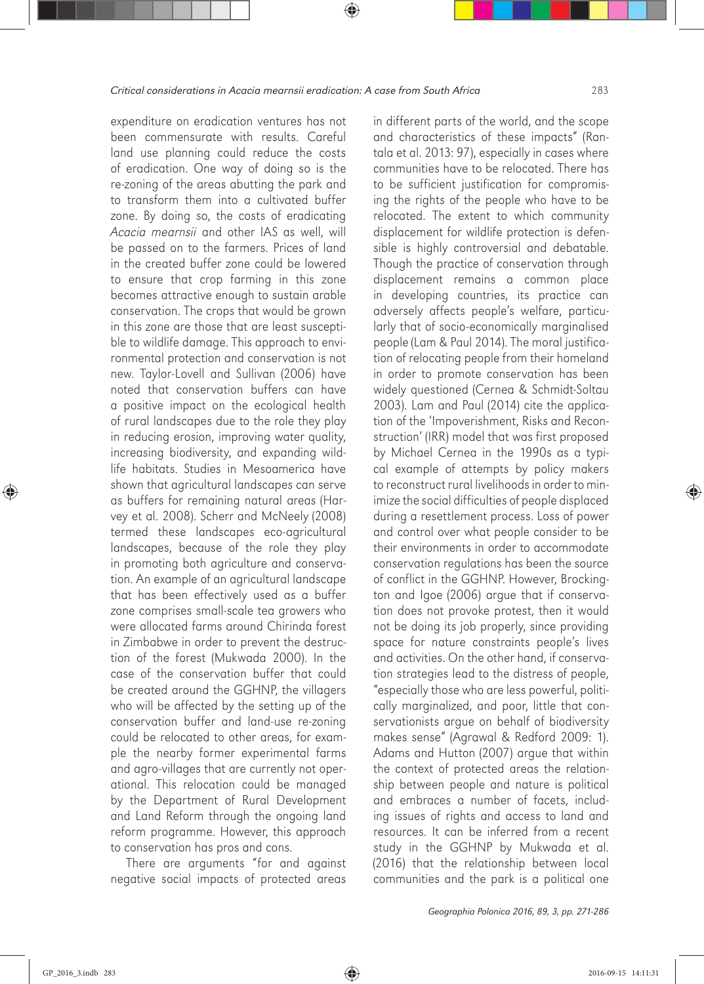expenditure on eradication ventures has not been commensurate with results. Careful land use planning could reduce the costs of eradication. One way of doing so is the re-zoning of the areas abutting the park and to transform them into a cultivated buffer zone. By doing so, the costs of eradicating *Acacia mearnsii* and other IAS as well, will be passed on to the farmers. Prices of land in the created buffer zone could be lowered to ensure that crop farming in this zone becomes attractive enough to sustain arable conservation. The crops that would be grown in this zone are those that are least susceptible to wildlife damage. This approach to environmental protection and conservation is not new. Taylor-Lovell and Sullivan (2006) have noted that conservation buffers can have a positive impact on the ecological health of rural landscapes due to the role they play in reducing erosion, improving water quality, increasing biodiversity, and expanding wildlife habitats. Studies in Mesoamerica have shown that agricultural landscapes can serve as buffers for remaining natural areas (Harvey et al. 2008). Scherr and McNeely (2008) termed these landscapes eco-agricultural landscapes, because of the role they play in promoting both agriculture and conservation. An example of an agricultural landscape that has been effectively used as a buffer zone comprises small-scale tea growers who were allocated farms around Chirinda forest in Zimbabwe in order to prevent the destruction of the forest (Mukwada 2000). In the case of the conservation buffer that could be created around the GGHNP, the villagers who will be affected by the setting up of the conservation buffer and land-use re-zoning could be relocated to other areas, for example the nearby former experimental farms and agro-villages that are currently not operational. This relocation could be managed by the Department of Rural Development and Land Reform through the ongoing land reform programme. However, this approach to conservation has pros and cons.

There are arguments "for and against negative social impacts of protected areas in different parts of the world, and the scope and characteristics of these impacts" (Rantala et al. 2013: 97), especially in cases where communities have to be relocated. There has to be sufficient justification for compromising the rights of the people who have to be relocated. The extent to which community displacement for wildlife protection is defensible is highly controversial and debatable. Though the practice of conservation through displacement remains a common place in developing countries, its practice can adversely affects people's welfare, particularly that of socio-economically marginalised people (Lam & Paul 2014). The moral justification of relocating people from their homeland in order to promote conservation has been widely questioned (Cernea & Schmidt-Soltau 2003). Lam and Paul (2014) cite the application of the 'Impoverishment, Risks and Reconstruction' (IRR) model that was first proposed by Michael Cernea in the 1990s as a typical example of attempts by policy makers to reconstruct rural livelihoods in order to minimize the social difficulties of people displaced during a resettlement process. Loss of power and control over what people consider to be their environments in order to accommodate conservation regulations has been the source of conflict in the GGHNP. However, Brockington and Igoe (2006) argue that if conservation does not provoke protest, then it would not be doing its job properly, since providing space for nature constraints people's lives and activities. On the other hand, if conservation strategies lead to the distress of people, "especially those who are less powerful, politically marginalized, and poor, little that conservationists argue on behalf of biodiversity makes sense" (Agrawal & Redford 2009: 1). Adams and Hutton (2007) argue that within the context of protected areas the relationship between people and nature is political and embraces a number of facets, including issues of rights and access to land and resources. It can be inferred from a recent study in the GGHNP by Mukwada et al. (2016) that the relationship between local communities and the park is a political one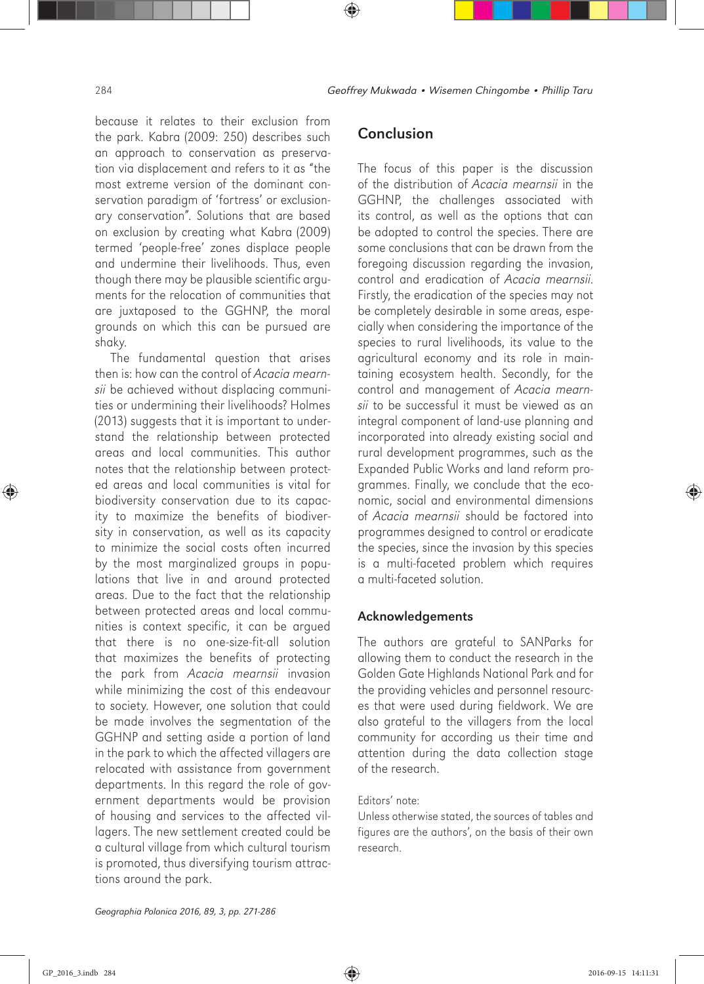because it relates to their exclusion from the park. Kabra (2009: 250) describes such an approach to conservation as preservation via displacement and refers to it as "the most extreme version of the dominant conservation paradigm of 'fortress' or exclusionary conservation". Solutions that are based on exclusion by creating what Kabra (2009) termed 'people-free' zones displace people and undermine their livelihoods. Thus, even though there may be plausible scientific arguments for the relocation of communities that are juxtaposed to the GGHNP, the moral grounds on which this can be pursued are shaky.

The fundamental question that arises then is: how can the control of *Acacia mearnsii* be achieved without displacing communities or undermining their livelihoods? Holmes (2013) suggests that it is important to understand the relationship between protected areas and local communities. This author notes that the relationship between protected areas and local communities is vital for biodiversity conservation due to its capacity to maximize the benefits of biodiversity in conservation, as well as its capacity to minimize the social costs often incurred by the most marginalized groups in populations that live in and around protected areas. Due to the fact that the relationship between protected areas and local communities is context specific, it can be argued that there is no one-size-fit-all solution that maximizes the benefits of protecting the park from *Acacia mearnsii* invasion while minimizing the cost of this endeavour to society. However, one solution that could be made involves the segmentation of the GGHNP and setting aside a portion of land in the park to which the affected villagers are relocated with assistance from government departments. In this regard the role of government departments would be provision of housing and services to the affected villagers. The new settlement created could be a cultural village from which cultural tourism is promoted, thus diversifying tourism attractions around the park.

## **Conclusion**

The focus of this paper is the discussion of the distribution of *Acacia mearnsii* in the GGHNP, the challenges associated with its control, as well as the options that can be adopted to control the species. There are some conclusions that can be drawn from the foregoing discussion regarding the invasion, control and eradication of *Acacia mearnsii*. Firstly, the eradication of the species may not be completely desirable in some areas, especially when considering the importance of the species to rural livelihoods, its value to the agricultural economy and its role in maintaining ecosystem health. Secondly, for the control and management of *Acacia mearnsii* to be successful it must be viewed as an integral component of land-use planning and incorporated into already existing social and rural development programmes, such as the Expanded Public Works and land reform programmes. Finally, we conclude that the economic, social and environmental dimensions of *Acacia mearnsii* should be factored into programmes designed to control or eradicate the species, since the invasion by this species is a multi-faceted problem which requires a multi-faceted solution.

#### Acknowledgements

The authors are grateful to SANParks for allowing them to conduct the research in the Golden Gate Highlands National Park and for the providing vehicles and personnel resources that were used during fieldwork. We are also grateful to the villagers from the local community for according us their time and attention during the data collection stage of the research.

#### Editors' note:

Unless otherwise stated, the sources of tables and figures are the authors', on the basis of their own research.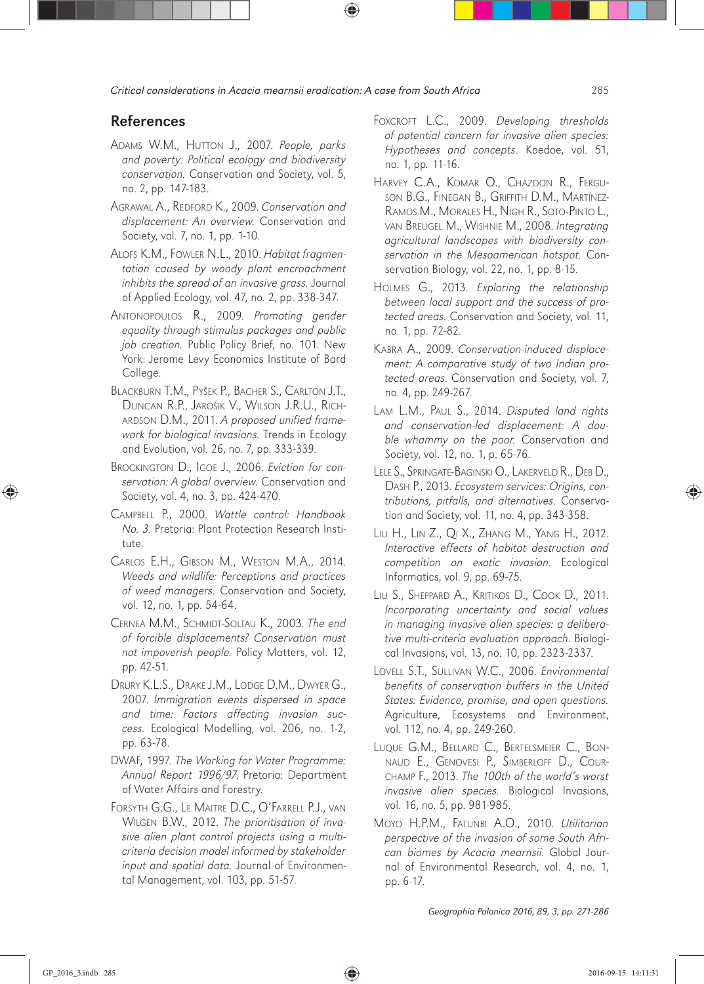### References

- ADAMS W.M., HUTTON J., 2007. *People, parks and poverty: Political ecology and biodiversity conservation.* Conservation and Society, vol. 5, no. 2, pp. 147-183.
- AGRAWAL A., REDFORD K., 2009. *Conservation and displacement: An overview.* Conservation and Society, vol. 7, no. 1, pp. 1-10.
- ALOFS K.M., FOWLER N.L., 2010. *Habitat fragmentation caused by woody plant encroachment inhibits the spread of an invasive grass.* Journal of Applied Ecology, vol. 47, no. 2, pp. 338-347.
- ANTONOPOULOS R., 2009. *Promoting gender equality through stimulus packages and public job creation.* Public Policy Brief, no. 101. New York: Jerome Levy Economics Institute of Bard College.
- BLACKBURN T.M., PYŠEK P., BACHER S., CARLTON J.T., DUNCAN R.P., JAROŠIK V., WILSON J.R.U., RICH-ARDSON D.M., 2011. *A proposed unified framework for biological invasions.* Trends in Ecology and Evolution, vol. 26, no. 7, pp. 333-339.
- BROCKINGTON D., IGOE J., 2006. *Eviction for conservation: A global overview.* Conservation and Society, vol. 4, no. 3, pp. 424-470.
- CAMPBELL P., 2000. *Wattle control: Handbook No. 3*. Pretoria: Plant Protection Research Institute.
- CARLOS E.H., GIBSON M., WESTON M.A., 2014. *Weeds and wildlife: Perceptions and practices of weed managers.* Conservation and Society, vol. 12, no. 1, pp. 54-64.
- CERNEA M.M., SCHMIDT-SOLTAU K., 2003. *The end of forcible displacements? Conservation must not impoverish people.* Policy Matters, vol. 12, pp. 42-51.
- DRURY K.L.S., DRAKE J.M., LODGE D.M., DWYER G., 2007. *Immigration events dispersed in space and time: Factors affecting invasion success.* Ecological Modelling, vol. 206, no. 1-2, pp. 63-78.
- DWAF, 1997. *The Working for Water Programme: Annual Report 1996/97*. Pretoria: Department of Water Affairs and Forestry.
- FORSYTH G.G., LE MAITRE D.C., O'FARRELL P.J., VAN WILGEN B.W., 2012. *The prioritisation of invasive alien plant control projects using a multicriteria decision model informed by stakeholder input and spatial data.* Journal of Environmental Management, vol. 103, pp. 51-57.
- FOXCROFT L.C., 2009. *Developing thresholds of potential concern for invasive alien species: Hypotheses and concepts.* Koedoe, vol. 51, no. 1, pp*.* 11-16.
- HARVEY C.A., KOMAR O., CHAZDON R., FERGU-SON B.G., FINEGAN B., GRIFFITH D.M., MARTÍNEZ-RAMOS M., MORALES H., NIGH R., SOTO-PINTO L., VAN BREUGEL M., WISHNIE M., 2008. *Integrating agricultural landscapes with biodiversity conservation in the Mesoamerican hotspot.* Conservation Biology, vol. 22, no. 1, pp. 8-15.
- HOLMES G., 2013. *Exploring the relationship between local support and the success of protected areas.* Conservation and Society, vol. 11, no. 1, pp. 72-82.
- KABRA A., 2009. *Conservation-induced displacement: A comparative study of two Indian protected areas*. Conservation and Society, vol. 7, no. 4, pp. 249-267.
- LAM L.M., PAUL S., 2014. *Disputed land rights and conservation-led displacement: A double whammy on the poor.* Conservation and Society, vol. 12, no. 1, p. 65-76.
- LELE S., SPRINGATE-BAGINSKI O., LAKERVELD R., DEB D., DASH P., 2013. *Ecosystem services: Origins, contributions, pitfalls, and alternatives.* Conservation and Society, vol. 11, no. 4, pp. 343-358.
- LIU H., LIN Z., QI X., ZHANG M., YANG H., 2012. *Interactive effects of habitat destruction and competition on exotic invasion*. Ecological Informatics, vol. 9, pp. 69-75.
- LIU S., SHEPPARD A., KRITIKOS D., COOK D., 2011. *Incorporating uncertainty and social values in managing invasive alien species: a deliberative multi-criteria evaluation approach*. Biological Invasions, vol. 13, no. 10, pp. 2323-2337.
- LOVELL S.T., SULLIVAN W.C., 2006. *Environmental benefits of conservation buffers in the United States: Evidence, promise, and open questions.* Agriculture, Ecosystems and Environment, vol. 112, no. 4, pp. 249-260.
- LUQUE G.M., BELLARD C., BERTELSMEIER C., BON-NAUD E., GENOVESI P., SIMBERLOFF D., COUR-CHAMP F., 2013. *The 100th of the world's worst invasive alien species.* Biological Invasions, vol. 16, no. 5, pp. 981-985.
- MOYO H.P.M., FATUNBI A.O., 2010. *Utilitarian perspective of the invasion of some South African biomes by Acacia mearnsii*. Global Journal of Environmental Research, vol. 4, no. 1, pp. 6-17.